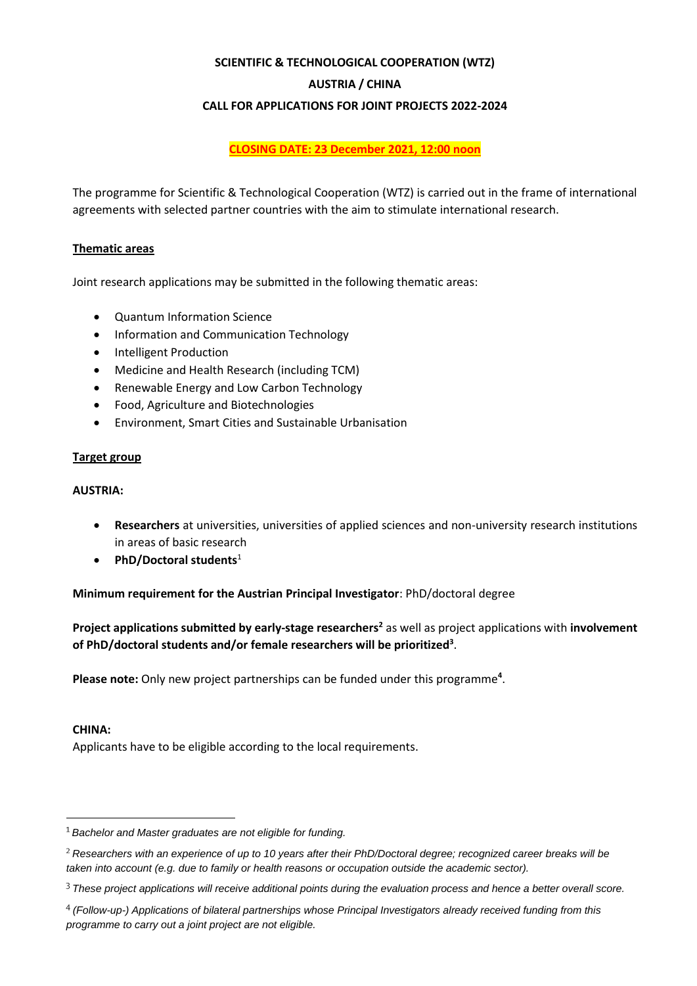## **SCIENTIFIC & TECHNOLOGICAL COOPERATION (WTZ)**

## **AUSTRIA / CHINA**

### **CALL FOR APPLICATIONS FOR JOINT PROJECTS 2022-2024**

**CLOSING DATE: 23 December 2021, 12:00 noon**

The programme for Scientific & Technological Cooperation (WTZ) is carried out in the frame of international agreements with selected partner countries with the aim to stimulate international research.

# **Thematic areas**

Joint research applications may be submitted in the following thematic areas:

- Quantum Information Science
- Information and Communication Technology
- Intelligent Production
- Medicine and Health Research (including TCM)
- Renewable Energy and Low Carbon Technology
- Food, Agriculture and Biotechnologies
- Environment, Smart Cities and Sustainable Urbanisation

### **Target group**

### **AUSTRIA:**

- **Researchers** at universities, universities of applied sciences and non-university research institutions in areas of basic research
- **PhD/Doctoral students**<sup>1</sup>

# **Minimum requirement for the Austrian Principal Investigator**: PhD/doctoral degree

**Project applications submitted by early-stage researchers<sup>2</sup>** as well as project applications with **involvement of PhD/doctoral students and/or female researchers will be prioritized<sup>3</sup>** .

Please note: Only new project partnerships can be funded under this programme<sup>4</sup>.

### **CHINA:**

Applicants have to be eligible according to the local requirements.

*Bachelor and Master graduates are not eligible for funding.*

*Researchers with an experience of up to 10 years after their PhD/Doctoral degree; recognized career breaks will be taken into account (e.g. due to family or health reasons or occupation outside the academic sector).*

*These project applications will receive additional points during the evaluation process and hence a better overall score.*

*<sup>(</sup>Follow-up-) Applications of bilateral partnerships whose Principal Investigators already received funding from this programme to carry out a joint project are not eligible.*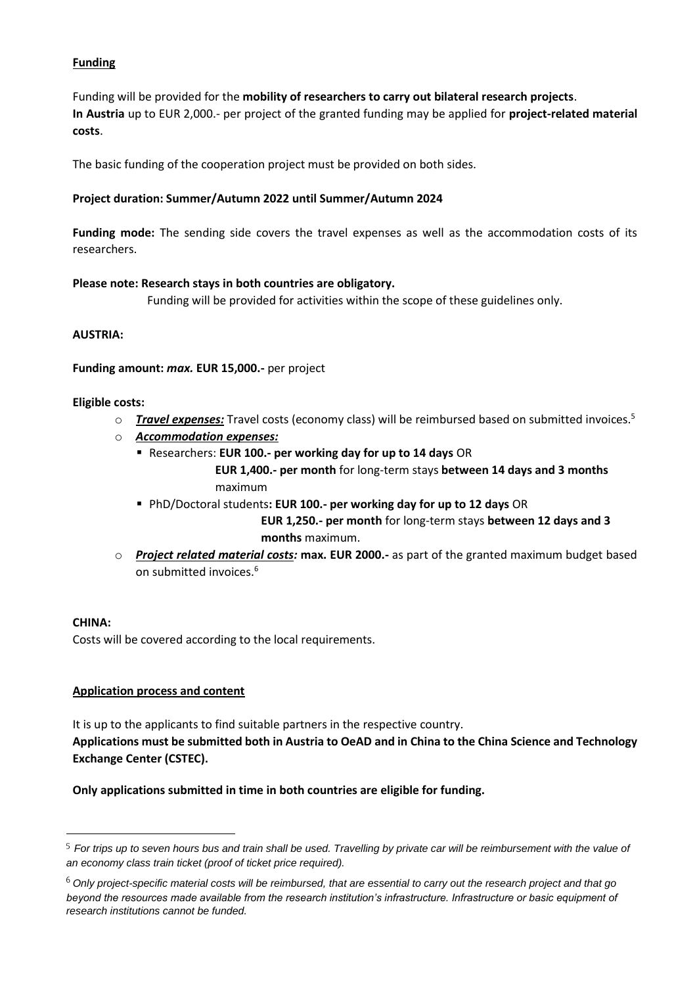# **Funding**

Funding will be provided for the **mobility of researchers to carry out bilateral research projects**. **In Austria** up to EUR 2,000.- per project of the granted funding may be applied for **project-related material costs**.

The basic funding of the cooperation project must be provided on both sides.

### **Project duration: Summer/Autumn 2022 until Summer/Autumn 2024**

**Funding mode:** The sending side covers the travel expenses as well as the accommodation costs of its researchers.

## **Please note: Research stays in both countries are obligatory.**

Funding will be provided for activities within the scope of these guidelines only.

## **AUSTRIA:**

### **Funding amount:** *max.* **EUR 15,000.-** per project

## **Eligible costs:**

- o *Travel expenses:* Travel costs (economy class) will be reimbursed based on submitted invoices.<sup>5</sup>
- o *Accommodation expenses:*
	- Researchers: **EUR 100.- per working day for up to 14 days** OR

 **EUR 1,400.- per month** for long-term stays **between 14 days and 3 months** maximum

▪ PhD/Doctoral students**: EUR 100.- per working day for up to 12 days** OR  **EUR 1,250.- per month** for long-term stays **between 12 days and 3** 

 **months** maximum.

o *Project related material costs:* **max. EUR 2000.-** as part of the granted maximum budget based on submitted invoices.<sup>6</sup>

### **CHINA:**

Costs will be covered according to the local requirements.

### **Application process and content**

It is up to the applicants to find suitable partners in the respective country. **Applications must be submitted both in Austria to OeAD and in China to the China Science and Technology Exchange Center (CSTEC).** 

**Only applications submitted in time in both countries are eligible for funding.** 

*For trips up to seven hours bus and train shall be used. Travelling by private car will be reimbursement with the value of an economy class train ticket (proof of ticket price required).*

*Only project-specific material costs will be reimbursed, that are essential to carry out the research project and that go beyond the resources made available from the research institution's infrastructure. Infrastructure or basic equipment of research institutions cannot be funded.*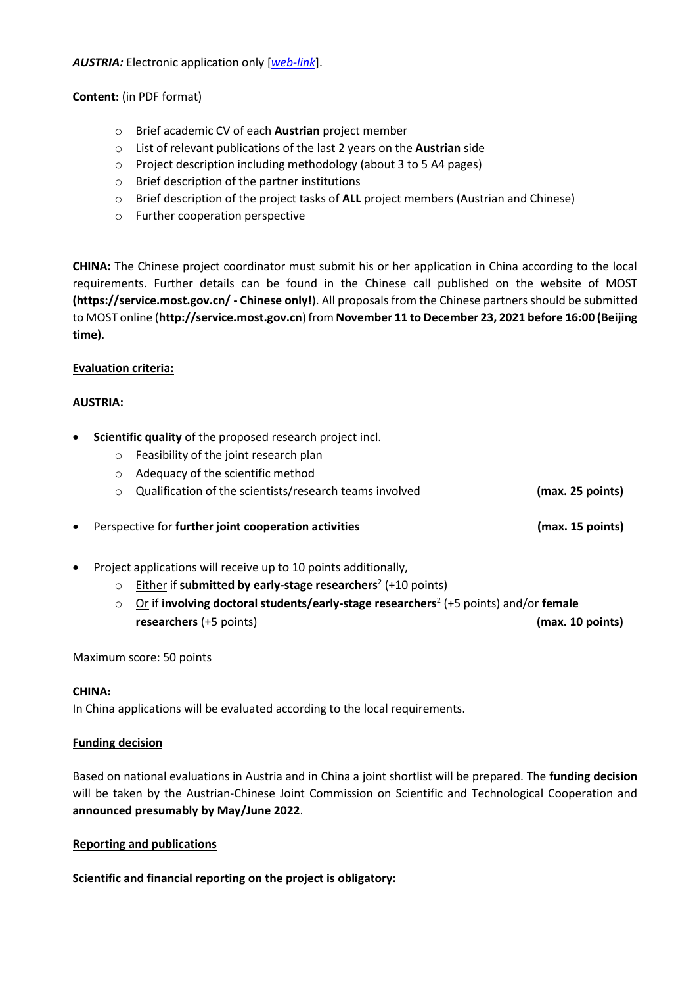*AUSTRIA:* Electronic application only [*[web-link](https://asp.sop.co.at/oead/antrag?call=CN2022)*].

**Content:** (in PDF format)

- o Brief academic CV of each **Austrian** project member
- o List of relevant publications of the last 2 years on the **Austrian** side
- o Project description including methodology (about 3 to 5 A4 pages)
- o Brief description of the partner institutions
- o Brief description of the project tasks of **ALL** project members (Austrian and Chinese)
- o Further cooperation perspective

**CHINA:** The Chinese project coordinator must submit his or her application in China according to the local requirements. Further details can be found in the Chinese call published on the website of MOST **(https://service.most.gov.cn/ - Chinese only!**). All proposals from the Chinese partners should be submitted to MOST online (**http://service.most.gov.cn**) from **November 11 to December 23, 2021 before 16:00 (Beijing time)**.

## **Evaluation criteria:**

## **AUSTRIA:**

- **Scientific quality** of the proposed research project incl.
	- o Feasibility of the joint research plan
	- o Adequacy of the scientific method
	- o Qualification of the scientists/research teams involved **(max. 25 points)**

• Perspective for **further joint cooperation activities (max. 15 points)**

- Project applications will receive up to 10 points additionally,
	- o Either if **submitted by early-stage researchers**<sup>2</sup> (+10 points)
	- o Or if **involving doctoral students/early-stage researchers**<sup>2</sup> (+5 points) and/or **female researchers** (+5 points) **(max. 10 points)**

Maximum score: 50 points

### **CHINA:**

In China applications will be evaluated according to the local requirements.

### **Funding decision**

Based on national evaluations in Austria and in China a joint shortlist will be prepared. The **funding decision** will be taken by the Austrian-Chinese Joint Commission on Scientific and Technological Cooperation and **announced presumably by May/June 2022**.

### **Reporting and publications**

**Scientific and financial reporting on the project is obligatory:**